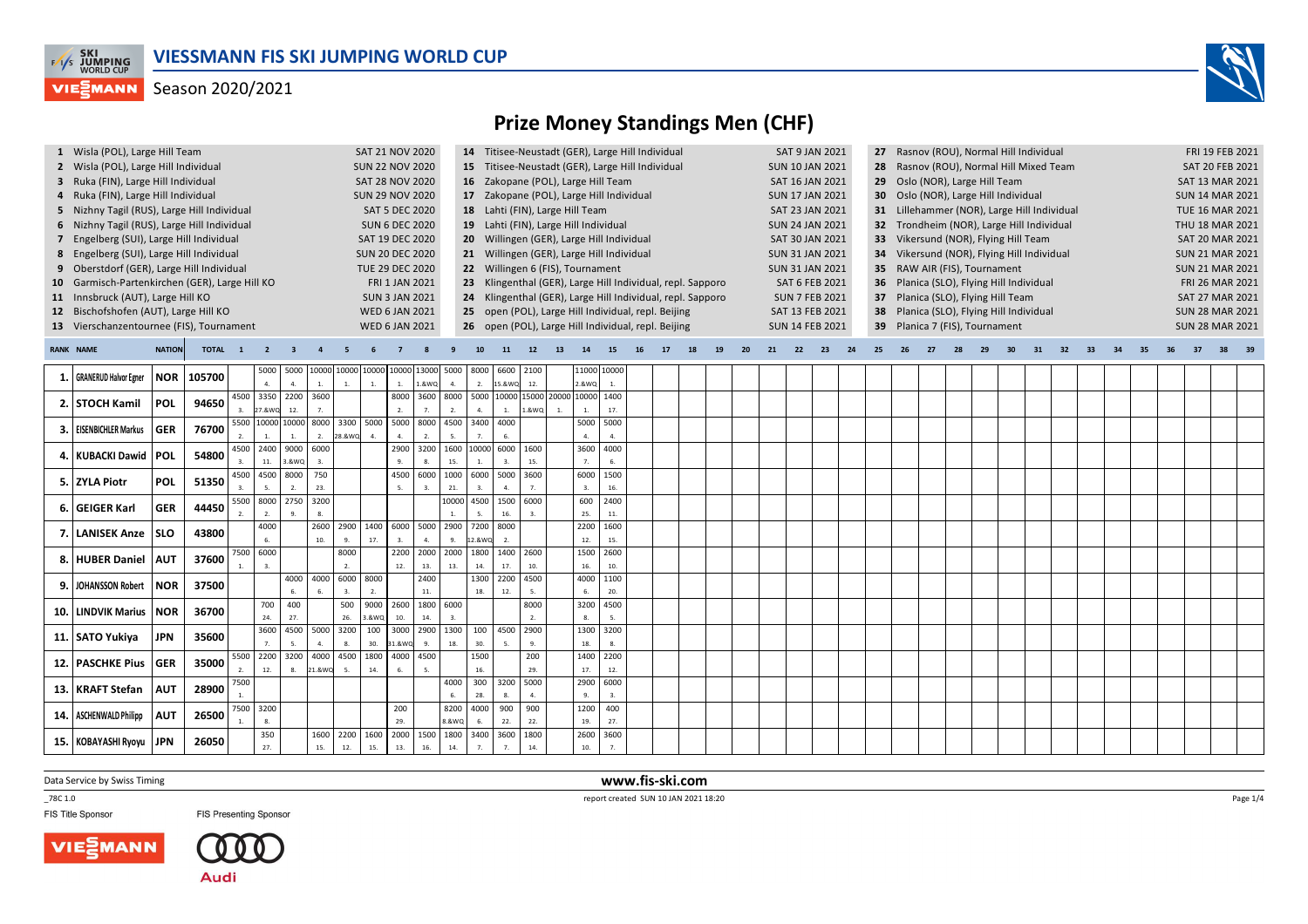

### Season 2020/2021



### **Prize Money Standings Men (CHF)**

| 1 Wisla (POL), Large Hill Team                 |               |              |                |                |            |            |                                  | SAT 21 NOV 2020                    |                |             |                   |             |             |                                       |                          | 14 Titisee-Neustadt (GER), Large Hill Individual           |    |    |     |    |    | <b>SAT 9 JAN 2021</b>  |    | 27 |  |    |                                      | Rasnov (ROU), Normal Hill Individual        |    |    |    |    |    | FRI 19 FEB 2021        |       |  |
|------------------------------------------------|---------------|--------------|----------------|----------------|------------|------------|----------------------------------|------------------------------------|----------------|-------------|-------------------|-------------|-------------|---------------------------------------|--------------------------|------------------------------------------------------------|----|----|-----|----|----|------------------------|----|----|--|----|--------------------------------------|---------------------------------------------|----|----|----|----|----|------------------------|-------|--|
| 2 Wisla (POL), Large Hill Individual           |               |              |                |                |            |            |                                  | <b>SUN 22 NOV 2020</b>             |                |             |                   |             |             |                                       |                          | 15 Titisee-Neustadt (GER), Large Hill Individual           |    |    |     |    |    | <b>SUN 10 JAN 2021</b> |    |    |  |    |                                      | Rasnov (ROU), Normal Hill Mixed Team        |    |    |    |    |    | <b>SAT 20 FEB 2021</b> |       |  |
| 3 Ruka (FIN), Large Hill Individual            |               |              |                |                |            |            |                                  | <b>SAT 28 NOV 2020</b>             |                |             |                   |             |             |                                       |                          | 16 Zakopane (POL), Large Hill Team                         |    |    |     |    |    | SAT 16 JAN 2021        |    |    |  |    | 29 Oslo (NOR), Large Hill Team       |                                             |    |    |    |    |    | SAT 13 MAR 2021        |       |  |
| 4 Ruka (FIN), Large Hill Individual            |               |              |                |                |            |            |                                  | <b>SUN 29 NOV 2020</b>             |                |             |                   |             |             |                                       |                          | 17 Zakopane (POL), Large Hill Individual                   |    |    |     |    |    | <b>SUN 17 JAN 2021</b> |    |    |  |    | Oslo (NOR), Large Hill Individual    |                                             |    |    |    |    |    | <b>SUN 14 MAR 2021</b> |       |  |
| 5 Nizhny Tagil (RUS), Large Hill Individual    |               |              |                |                |            |            |                                  | <b>SAT 5 DEC 2020</b>              |                |             |                   |             |             | 18 Lahti (FIN), Large Hill Team       |                          |                                                            |    |    |     |    |    | SAT 23 JAN 2021        |    |    |  |    |                                      | 31 Lillehammer (NOR), Large Hill Individual |    |    |    |    |    | <b>TUE 16 MAR 2021</b> |       |  |
| 6 Nizhny Tagil (RUS), Large Hill Individual    |               |              |                |                |            |            |                                  | <b>SUN 6 DEC 2020</b>              |                |             |                   |             |             | 19 Lahti (FIN), Large Hill Individual |                          |                                                            |    |    |     |    |    | <b>SUN 24 JAN 2021</b> |    |    |  |    |                                      | 32 Trondheim (NOR), Large Hill Individual   |    |    |    |    |    | THU 18 MAR 2021        |       |  |
| 7 Engelberg (SUI), Large Hill Individual       |               |              |                |                |            |            |                                  | SAT 19 DEC 2020                    |                |             |                   |             |             |                                       |                          | 20 Willingen (GER), Large Hill Individual                  |    |    |     |    |    | SAT 30 JAN 2021        |    |    |  |    | 33 Vikersund (NOR), Flying Hill Team |                                             |    |    |    |    |    | <b>SAT 20 MAR 2021</b> |       |  |
| 8 Engelberg (SUI), Large Hill Individual       |               |              |                |                |            |            |                                  | <b>SUN 20 DEC 2020</b>             |                |             |                   |             |             |                                       |                          | 21 Willingen (GER), Large Hill Individual                  |    |    |     |    |    | <b>SUN 31 JAN 2021</b> |    |    |  |    |                                      | 34 Vikersund (NOR), Flying Hill Individual  |    |    |    |    |    | <b>SUN 21 MAR 2021</b> |       |  |
| 9 Oberstdorf (GER), Large Hill Individual      |               |              |                |                |            |            |                                  | <b>TUE 29 DEC 2020</b>             |                |             |                   |             |             | 22 Willingen 6 (FIS), Tournament      |                          |                                                            |    |    |     |    |    | <b>SUN 31 JAN 2021</b> |    |    |  |    | 35 RAW AIR (FIS), Tournament         |                                             |    |    |    |    |    | <b>SUN 21 MAR 2021</b> |       |  |
| 10 Garmisch-Partenkirchen (GER), Large Hill KO |               |              |                |                |            |            |                                  |                                    | FRI 1 JAN 2021 |             |                   |             |             |                                       |                          | 23 Klingenthal (GER), Large Hill Individual, repl. Sapporo |    |    |     |    |    | SAT 6 FEB 2021         |    |    |  |    |                                      | 36 Planica (SLO), Flying Hill Individual    |    |    |    |    |    | FRI 26 MAR 2021        |       |  |
| 11 Innsbruck (AUT), Large Hill KO              |               |              |                |                |            |            |                                  | <b>SUN 3 JAN 2021</b>              |                |             |                   |             |             |                                       |                          | 24 Klingenthal (GER), Large Hill Individual, repl. Sapporo |    |    |     |    |    | <b>SUN 7 FEB 2021</b>  |    | 37 |  |    | Planica (SLO), Flying Hill Team      |                                             |    |    |    |    |    | SAT 27 MAR 2021        |       |  |
| 12 Bischofshofen (AUT), Large Hill KO          |               |              |                |                |            |            |                                  | <b>WED 6 JAN 2021</b>              |                |             |                   |             |             |                                       |                          | 25 open (POL), Large Hill Individual, repl. Beijing        |    |    |     |    |    | SAT 13 FEB 2021        |    | 38 |  |    |                                      | Planica (SLO), Flying Hill Individual       |    |    |    |    |    | <b>SUN 28 MAR 2021</b> |       |  |
| 13 Vierschanzentournee (FIS), Tournament       |               |              |                |                |            |            |                                  | <b>WED 6 JAN 2021</b>              |                |             |                   |             |             |                                       |                          | 26 open (POL), Large Hill Individual, repl. Beijing        |    |    |     |    |    | <b>SUN 14 FEB 2021</b> |    | 39 |  |    | Planica 7 (FIS), Tournament          |                                             |    |    |    |    |    | <b>SUN 28 MAR 2021</b> |       |  |
|                                                |               |              |                |                |            |            |                                  |                                    |                |             |                   |             |             |                                       |                          |                                                            |    |    |     |    |    |                        |    |    |  |    |                                      |                                             |    |    |    |    |    |                        |       |  |
| <b>RANK NAME</b>                               | <b>NATION</b> | <b>TOTAL</b> | $\blacksquare$ | $\overline{2}$ |            |            |                                  |                                    |                |             |                   |             |             | 12 <sup>2</sup>                       |                          |                                                            | 17 | 19 | -20 | 21 | 22 | 23                     | 24 | 25 |  | 28 | 29                                   | 31                                          | 32 | 33 | 34 | 35 | 36 | 37                     | 38 39 |  |
|                                                |               |              |                | 5000           | 5000       |            |                                  | 10000 10000 10000 10000 13000 5000 |                |             |                   | 8000        | 6600        | 2100                                  | 11000 10000              |                                                            |    |    |     |    |    |                        |    |    |  |    |                                      |                                             |    |    |    |    |    |                        |       |  |
| 1. GRANERUD Halvor Egner                       | NOR           | 105700       |                | $\overline{a}$ |            |            |                                  | 1.                                 | $\overline{1}$ | 1.&WQ       |                   | 2.          | 15.&WO      | 12.                                   | 2.&WQ                    |                                                            |    |    |     |    |    |                        |    |    |  |    |                                      |                                             |    |    |    |    |    |                        |       |  |
| 2. STOCH Kamil                                 | POL           | 94650        |                | 4500 3350      | 2200       | 3600       |                                  |                                    | 8000           | 3600 8000   |                   | 5000        |             | 10000 15000 20000 10000               |                          | 1400                                                       |    |    |     |    |    |                        |    |    |  |    |                                      |                                             |    |    |    |    |    |                        |       |  |
|                                                |               |              | $\mathbf{3}$   | 7.&WQ          | 12.        |            |                                  |                                    |                |             |                   |             |             | L&WQ                                  |                          | 17.                                                        |    |    |     |    |    |                        |    |    |  |    |                                      |                                             |    |    |    |    |    |                        |       |  |
| 3. EISENBICHLER Markus                         | <b>GER</b>    | 76700        |                | 5500 10000     | 10000      |            | 8000 3300                        | 5000                               | 5000           | 8000        | 4500              | 3400        | 4000        |                                       | 5000                     | 5000                                                       |    |    |     |    |    |                        |    |    |  |    |                                      |                                             |    |    |    |    |    |                        |       |  |
|                                                |               |              | 2.             | 4500 2400      | 9000       | 2.<br>6000 | 28.&WQ                           |                                    | 2900           | 2.<br>3200  | -5.<br>1600 10000 |             | 6000        | 1600                                  | $\overline{a}$ .<br>3600 | 4000                                                       |    |    |     |    |    |                        |    |    |  |    |                                      |                                             |    |    |    |    |    |                        |       |  |
| 4. KUBACKI Dawid POL                           |               | 54800        |                | 11.            | 3.&WQ      |            |                                  |                                    |                | -8.         | 15.               |             |             | 15.                                   | 7.                       |                                                            |    |    |     |    |    |                        |    |    |  |    |                                      |                                             |    |    |    |    |    |                        |       |  |
|                                                |               |              |                | 4500 4500      | 8000       | 750        |                                  |                                    | 4500           | 6000        | 1000              | 6000        | 5000        | 3600                                  | 6000                     | 1500                                                       |    |    |     |    |    |                        |    |    |  |    |                                      |                                             |    |    |    |    |    |                        |       |  |
| 5. ZYLA Piotr                                  | POL           | 51350        |                |                |            | 23.        |                                  |                                    |                |             | 21.               |             |             |                                       |                          | 16.                                                        |    |    |     |    |    |                        |    |    |  |    |                                      |                                             |    |    |    |    |    |                        |       |  |
|                                                |               |              |                | 5500 8000      | 2750       | 3200       |                                  |                                    |                |             | 10000             | 4500        | 1500        | 6000                                  | 600                      | 2400                                                       |    |    |     |    |    |                        |    |    |  |    |                                      |                                             |    |    |    |    |    |                        |       |  |
| 6. GEIGER Karl                                 | <b>GER</b>    | 44450        |                |                |            |            |                                  |                                    |                |             |                   |             |             |                                       | 25.                      | 11.                                                        |    |    |     |    |    |                        |    |    |  |    |                                      |                                             |    |    |    |    |    |                        |       |  |
| 7. LANISEK Anze SLO                            |               | 43800        |                | 4000           |            |            | 2600 2900                        | 1400                               | 6000 5000      |             | 2900              | 7200        | 8000        |                                       | 2200                     | 1600                                                       |    |    |     |    |    |                        |    |    |  |    |                                      |                                             |    |    |    |    |    |                        |       |  |
|                                                |               |              |                |                |            | 10.        |                                  | 17.                                |                |             |                   | 2.&WC       |             |                                       | 12.                      | 15.                                                        |    |    |     |    |    |                        |    |    |  |    |                                      |                                             |    |    |    |    |    |                        |       |  |
| 8. HUBER Daniel                                | <b>AUT</b>    | 37600        |                | 7500 6000      |            |            | 8000                             |                                    | 2200           | 2000        | 2000              | 1800        | 1400        | 2600                                  | 1500                     | 2600                                                       |    |    |     |    |    |                        |    |    |  |    |                                      |                                             |    |    |    |    |    |                        |       |  |
|                                                |               |              |                |                |            |            | $\overline{2}$<br>4000 6000 8000 |                                    | 12.            | 13.<br>2400 | 13.               | 14.<br>1300 | 17.<br>2200 | 10.<br>4500                           | 16.<br>4000              | 10.                                                        |    |    |     |    |    |                        |    |    |  |    |                                      |                                             |    |    |    |    |    |                        |       |  |
| 9. JOHANSSON Robert                            | <b>NOR</b>    | 37500        |                |                | 4000<br>6. |            |                                  | $\overline{2}$ .                   |                | $11.$       |                   | 18.         | 12.         |                                       | 6.                       | 1100<br>20.                                                |    |    |     |    |    |                        |    |    |  |    |                                      |                                             |    |    |    |    |    |                        |       |  |
|                                                |               |              |                | 700            | 400        |            | 500                              | 9000                               | 2600           | 1800 6000   |                   |             |             | 8000                                  | 3200                     | 4500                                                       |    |    |     |    |    |                        |    |    |  |    |                                      |                                             |    |    |    |    |    |                        |       |  |
| 10. LINDVIK Marius                             | NOR           | 36700        |                | 24.            | 27.        |            | 26.                              | <b>.&amp;WQ</b>                    | 10.            | 14.         |                   |             |             |                                       | 8.                       | 5.                                                         |    |    |     |    |    |                        |    |    |  |    |                                      |                                             |    |    |    |    |    |                        |       |  |
|                                                |               |              |                | 3600           | 4500       | 5000 3200  |                                  | 100                                | 3000           | 2900        | 1300              | 100         | 4500        | 2900                                  | 1300                     | 3200                                                       |    |    |     |    |    |                        |    |    |  |    |                                      |                                             |    |    |    |    |    |                        |       |  |
| 11. SATO Yukiya                                | <b>JPN</b>    | 35600        |                | 7.             | $\epsilon$ | 4.         | 8.                               | 30.                                | 31.&WO         | 9.          | 18.               | 30.         |             | 9.                                    | 18.                      | 8.                                                         |    |    |     |    |    |                        |    |    |  |    |                                      |                                             |    |    |    |    |    |                        |       |  |

Data Service by Swiss Timing

\_78C 1.0

FIS Title Sponsor



**12. PASCHKE Pius GER <sup>35000</sup>**

**13. KRAFT Stefan | AUT** | 28900

**14. ASCHENWALD Philipp AUT <sup>26500</sup>**

**15. KOBAYASHI Ryoyu JPN <sup>26050</sup>**



**FIS Presenting Sponsor** 

2200

27.

55002. 12. 8. 21.&WQ5. 14. 6.5.

75001.

7500 1.3200 8.350

3200

4000

4500

1600 | 2200 | 1600 15. 12. 15. 13. 16. 14.7.7.14.

1800

4000 4500

20029.

1500

 16.4000 300 3200 5000

 6. 28. 8. 4.

8200 | 4000 8.&WQ6.

2000 1500 1800 3400

200

29.

900 | 900  $\overline{\mathfrak{z}}$  $360011800$  $\overline{2}$ 

1400 2200

 17. $290060000$ 12.

> 9. 3.

1200 19. $2600$   $3600$ 40027.

> 10. 7.

 **www.fis-ski.com**report created SUN 10 JAN 2021 18:20

Page 1/4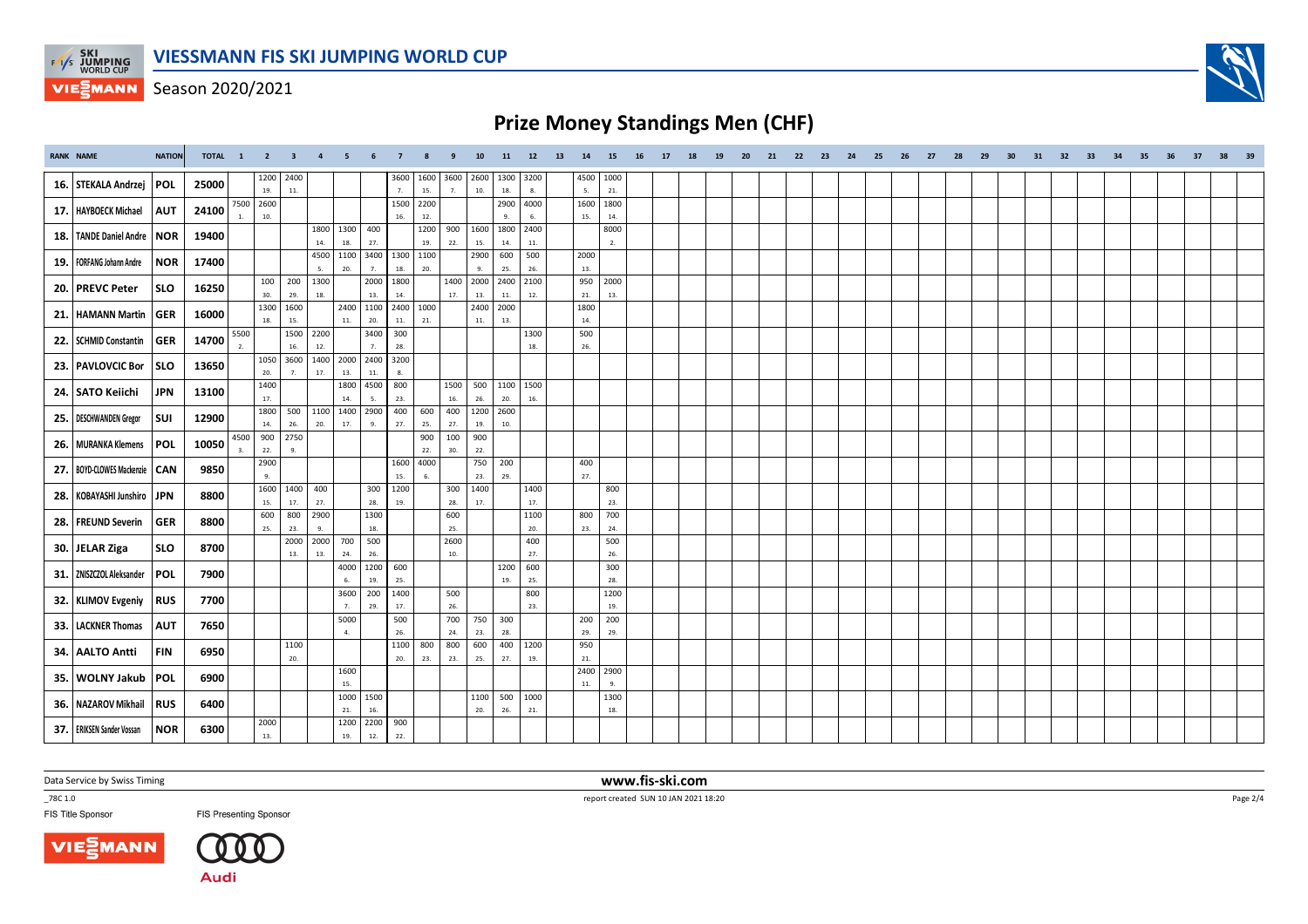

Season 2020/2021

# **Prize Money Standings Men (CHF)**

| <b>RANK NAME</b> |                              | <b>NATION</b> | TOTAL 1 |            | $\overline{2}$   | $\overline{\mathbf{3}}$ | $\overline{a}$ | 5                |               |                          |             |                        | 10          | 11          | 12          | 13 | 14            | 15          | 16 | 17 | 18 | 19 | 20 | 21 | 22 | 23 | 24 | 25 | 26 | 27 | 28 | 29 | 30 | 31 | 32 | 33 | 34 | 35 | 36 | 37 | -38 |  |
|------------------|------------------------------|---------------|---------|------------|------------------|-------------------------|----------------|------------------|---------------|--------------------------|-------------|------------------------|-------------|-------------|-------------|----|---------------|-------------|----|----|----|----|----|----|----|----|----|----|----|----|----|----|----|----|----|----|----|----|----|----|-----|--|
|                  | 16. STEKALA Andrzej          | <b>POL</b>    | 25000   |            | 1200<br>19.      | 2400<br>11.             |                |                  |               | 3600<br>$\overline{7}$ . | 1600<br>15. | 3600<br>$\overline{7}$ | 2600<br>10. | 1300<br>18. | 3200<br>8.  |    | 4500<br>5.    | 1000<br>21. |    |    |    |    |    |    |    |    |    |    |    |    |    |    |    |    |    |    |    |    |    |    |     |  |
|                  | 17.   HAYBOECK Michael       | <b>AUT</b>    | 24100   |            | 7500 2600<br>10. |                         |                |                  |               | 1500<br>16.              | 2200<br>12. |                        |             | 2900        | 4000<br>6.  |    | 1600<br>15.   | 1800<br>14. |    |    |    |    |    |    |    |    |    |    |    |    |    |    |    |    |    |    |    |    |    |    |     |  |
|                  | 18. TANDE Daniel Andre   NOR |               | 19400   |            |                  |                         | 1800           | 1300             | 400           |                          | 1200        | 900                    | 1600        | 1800        | 2400        |    |               | 8000        |    |    |    |    |    |    |    |    |    |    |    |    |    |    |    |    |    |    |    |    |    |    |     |  |
|                  | 19.   FORFANG Johann Andre   | <b>NOR</b>    | 17400   |            |                  |                         | 14.            | 18.<br>4500 1100 | 27.<br>3400   | 1300                     | 19.<br>1100 | 22.                    | 15.<br>2900 | 14.<br>600  | 11.<br>500  |    | 2000          | 2.          |    |    |    |    |    |    |    |    |    |    |    |    |    |    |    |    |    |    |    |    |    |    |     |  |
|                  |                              |               |         |            | 100              | 200                     | 5.<br>1300     | 20.              | 7.<br>2000    | 18.<br>1800              | 20.         | 1400                   | 9.<br>2000  | 25.<br>2400 | 26.<br>2100 |    | 13.<br>950    | 2000        |    |    |    |    |    |    |    |    |    |    |    |    |    |    |    |    |    |    |    |    |    |    |     |  |
|                  | 20. PREVC Peter              | <b>SLO</b>    | 16250   |            | 30.<br>1300      | 29.<br>1600             | 18.            | 2400             | 13.<br>1100   | 14.<br>2400 1000         |             | 17.                    | 13.<br>2400 | 11.<br>2000 | 12.         |    | 21.<br>1800   | 13.         |    |    |    |    |    |    |    |    |    |    |    |    |    |    |    |    |    |    |    |    |    |    |     |  |
|                  | 21. HAMANN Martin            | GER           | 16000   |            | 18.              | 15.                     |                | 11.              | 20.           | 11.                      | 21.         |                        | $11.$       | 13.         |             |    | 14.           |             |    |    |    |    |    |    |    |    |    |    |    |    |    |    |    |    |    |    |    |    |    |    |     |  |
|                  | 22. SCHMID Constantin        | <b>GER</b>    | 14700   | 5500<br>2. |                  | 1500<br>$16.$           | 2200<br>12.    |                  | 3400<br>7.    | 300<br>28.               |             |                        |             |             | 1300<br>18. |    | 500<br>26.    |             |    |    |    |    |    |    |    |    |    |    |    |    |    |    |    |    |    |    |    |    |    |    |     |  |
|                  | 23. PAVLOVCIC Bor            | <b>SLO</b>    | 13650   |            | 1050<br>20.      | 3600<br>7.              | 17.            | 1400 2000<br>13. | 2400<br>$11.$ | 3200<br>8.               |             |                        |             |             |             |    |               |             |    |    |    |    |    |    |    |    |    |    |    |    |    |    |    |    |    |    |    |    |    |    |     |  |
|                  | 24. SATO Keiichi             | <b>JPN</b>    | 13100   |            | 1400<br>17.      |                         |                | 1800<br>14.      | 4500<br>5.    | 800<br>23.               |             | 1500<br>16.            | 500<br>26.  | 1100<br>20. | 1500<br>16. |    |               |             |    |    |    |    |    |    |    |    |    |    |    |    |    |    |    |    |    |    |    |    |    |    |     |  |
|                  | 25.   DESCHWANDEN Gregor     | SUI           | 12900   |            | 1800             | 500                     |                | 1100 1400        | 2900          | 400                      | 600         | 400                    | 1200        | 2600        |             |    |               |             |    |    |    |    |    |    |    |    |    |    |    |    |    |    |    |    |    |    |    |    |    |    |     |  |
|                  | 26.   MURANKA Klemens        | <b>POL</b>    | 10050   | 4500       | 14.<br>900       | 26.<br>2750             | 20.            | 17.              | 9.            | 27.                      | 25.<br>900  | 27.<br>100             | 19.<br>900  | 10.         |             |    |               |             |    |    |    |    |    |    |    |    |    |    |    |    |    |    |    |    |    |    |    |    |    |    |     |  |
|                  |                              |               |         | 3.         | 22.<br>2900      | 9.                      |                |                  |               | 1600                     | 22.<br>4000 | 30.                    | 22.<br>750  | 200         |             |    | 400           |             |    |    |    |    |    |    |    |    |    |    |    |    |    |    |    |    |    |    |    |    |    |    |     |  |
|                  | 27. BOYD-CLOWES Mackenzie    | $ $ CAN       | 9850    |            | 9.<br>1600       | 1400                    | 400            |                  | 300           | 15.<br>1200              | 6.          | 300                    | 23.<br>1400 | 29.         | 1400        |    | 27.           | 800         |    |    |    |    |    |    |    |    |    |    |    |    |    |    |    |    |    |    |    |    |    |    |     |  |
|                  | 28. KOBAYASHI Junshiro       | <b>JPN</b>    | 8800    |            | 15.              | 17.                     | 27.            |                  | 28.           | 19.                      |             | 28.                    | 17.         |             | 17.         |    |               | 23.         |    |    |    |    |    |    |    |    |    |    |    |    |    |    |    |    |    |    |    |    |    |    |     |  |
|                  | 28. FREUND Severin           | GER           | 8800    |            | 600<br>25.       | 800<br>23.              | 2900<br>9.     |                  | 1300<br>18.   |                          |             | 600<br>25.             |             |             | 1100<br>20. |    | 800<br>23.    | 700<br>24.  |    |    |    |    |    |    |    |    |    |    |    |    |    |    |    |    |    |    |    |    |    |    |     |  |
|                  | 30. JELAR Ziga               | <b>SLO</b>    | 8700    |            |                  | 2000<br>13.             | 13.            | 2000 700<br>24.  | 500<br>26.    |                          |             | 2600<br>10.            |             |             | 400<br>27.  |    |               | 500<br>26.  |    |    |    |    |    |    |    |    |    |    |    |    |    |    |    |    |    |    |    |    |    |    |     |  |
|                  | 31. ZNISZCZOL Aleksander     | <b>POL</b>    | 7900    |            |                  |                         |                | 4000<br>6.       | 1200<br>19.   | 600<br>25.               |             |                        |             | 1200<br>19. | 600<br>25.  |    |               | 300<br>28.  |    |    |    |    |    |    |    |    |    |    |    |    |    |    |    |    |    |    |    |    |    |    |     |  |
|                  | 32. KLIMOV Evgeniy           | <b>RUS</b>    | 7700    |            |                  |                         |                | 3600             | 200           | 1400                     |             | 500                    |             |             | 800         |    |               | 1200        |    |    |    |    |    |    |    |    |    |    |    |    |    |    |    |    |    |    |    |    |    |    |     |  |
|                  | 33. LACKNER Thomas           | <b>AUT</b>    | 7650    |            |                  |                         |                | 7.<br>5000       | 29.           | 17.<br>500               |             | 26.<br>700             | 750         | 300         | 23.         |    | 200           | 19.<br>200  |    |    |    |    |    |    |    |    |    |    |    |    |    |    |    |    |    |    |    |    |    |    |     |  |
|                  |                              |               |         |            |                  | 1100                    |                | 4.               |               | 26.<br>1100              | 800         | 24.<br>800             | 23.<br>600  | 28.<br>400  | 1200        |    | 29.<br>950    | 29.         |    |    |    |    |    |    |    |    |    |    |    |    |    |    |    |    |    |    |    |    |    |    |     |  |
|                  | 34. AALTO Antti              | <b>FIN</b>    | 6950    |            |                  | 20.                     |                |                  |               | 20.                      | 23.         | 23.                    | 25.         | 27.         | 19.         |    | $21.$<br>2400 | 2900        |    |    |    |    |    |    |    |    |    |    |    |    |    |    |    |    |    |    |    |    |    |    |     |  |
|                  | 35. WOLNY Jakub              | <b>POL</b>    | 6900    |            |                  |                         |                | 1600<br>15.      |               |                          |             |                        |             |             |             |    | $11.$         | 9.          |    |    |    |    |    |    |    |    |    |    |    |    |    |    |    |    |    |    |    |    |    |    |     |  |
|                  | 36. NAZAROV Mikhail          | <b>RUS</b>    | 6400    |            |                  |                         |                | 1000<br>21.      | 1500<br>16.   |                          |             |                        | 1100<br>20. | 500<br>26.  | 1000<br>21. |    |               | 1300<br>18. |    |    |    |    |    |    |    |    |    |    |    |    |    |    |    |    |    |    |    |    |    |    |     |  |
|                  | 37. ERIKSEN Sander Vossan    | <b>NOR</b>    | 6300    |            | 2000<br>13.      |                         |                | 1200<br>19.      | 2200<br>$12.$ | 900<br>22.               |             |                        |             |             |             |    |               |             |    |    |    |    |    |    |    |    |    |    |    |    |    |    |    |    |    |    |    |    |    |    |     |  |
|                  |                              |               |         |            |                  |                         |                |                  |               |                          |             |                        |             |             |             |    |               |             |    |    |    |    |    |    |    |    |    |    |    |    |    |    |    |    |    |    |    |    |    |    |     |  |

Data Service by Swiss Timing

\_78C 1.0

FIS Title Sponsor





**FIS Presenting Sponsor** 

 **www.fis-ski.com**report created SUN 10 JAN 2021 18:20



Page 2/4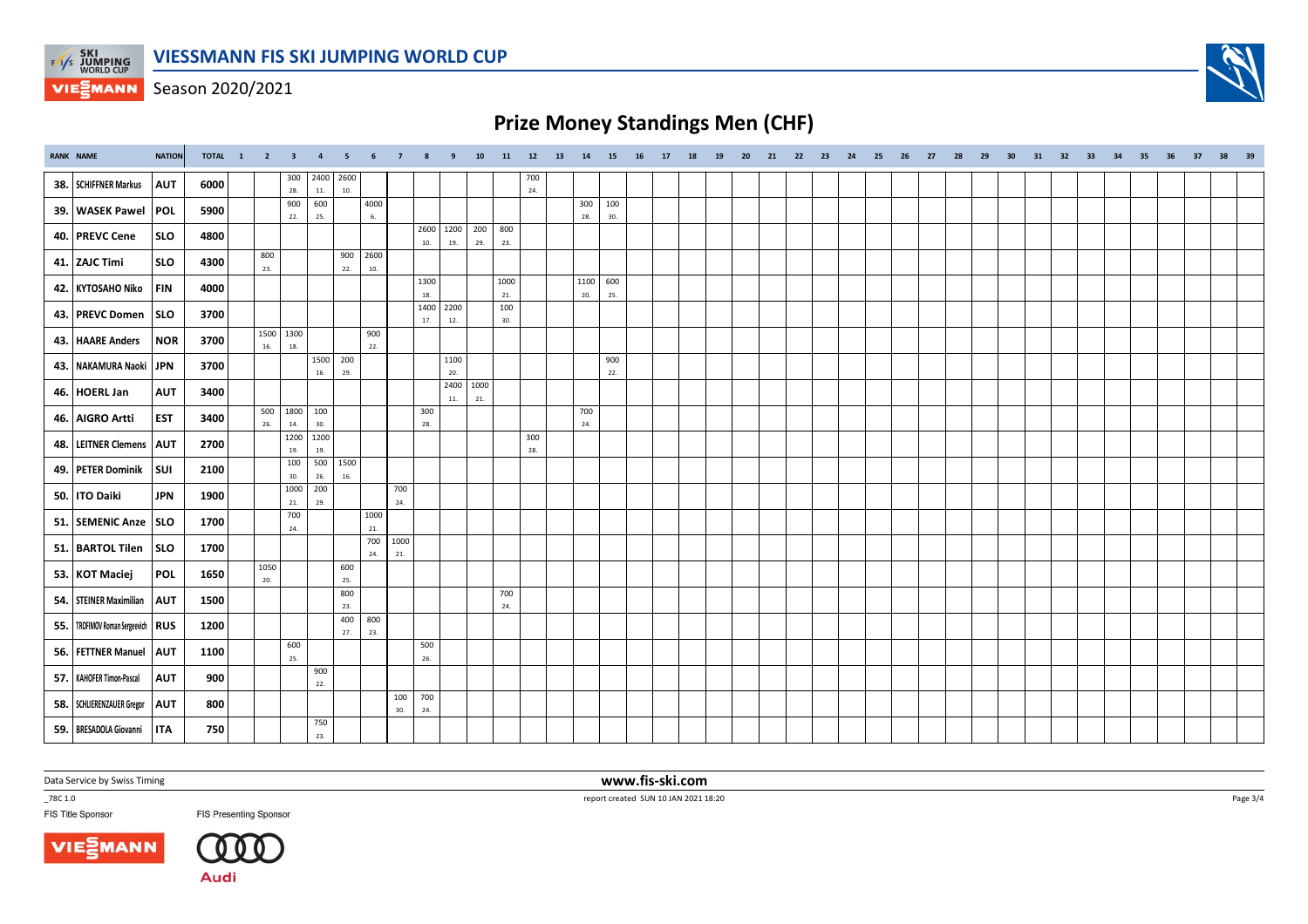

Season 2020/2021

# **Prize Money Standings Men (CHF)**

| <b>RANK NAME</b>                      | <b>NATION</b> | TOTAL 1 2 3 4 |             |               |               | 5               | - 6         | $\overline{7}$ | -8                   | 9     | 10        | 11         | 12         | 13 | 14         | 15         | 16 | 17 | 18 | 19 | 20 | 21 22 | 23 | 24 25 | 26 | 27 | 28 | 29 | 30 | 31 | 32 | 33 | 34 35 36 | 37 38 | 39 |
|---------------------------------------|---------------|---------------|-------------|---------------|---------------|-----------------|-------------|----------------|----------------------|-------|-----------|------------|------------|----|------------|------------|----|----|----|----|----|-------|----|-------|----|----|----|----|----|----|----|----|----------|-------|----|
| 38. SCHIFFNER Markus                  | <b>AUT</b>    | 6000          |             | 300<br>28.    | 2400<br>$11.$ | 2600<br>10.     |             |                |                      |       |           |            | 700<br>24. |    |            |            |    |    |    |    |    |       |    |       |    |    |    |    |    |    |    |    |          |       |    |
| 39. WASEK Pawel                       | POL           | 5900          |             | 900<br>22.    | 600<br>25.    |                 | 4000<br>6.  |                |                      |       |           |            |            |    | 300<br>28. | 100<br>30. |    |    |    |    |    |       |    |       |    |    |    |    |    |    |    |    |          |       |    |
| 40. PREVC Cene                        | <b>SLO</b>    | 4800          |             |               |               |                 |             |                | 2600 1200 200<br>10. | 19.   | 29.       | 800<br>23. |            |    |            |            |    |    |    |    |    |       |    |       |    |    |    |    |    |    |    |    |          |       |    |
| 41. ZAJC Timi                         | <b>SLO</b>    | 4300          | 800<br>23.  |               |               | 900<br>22.      | 2600<br>10. |                |                      |       |           |            |            |    |            |            |    |    |    |    |    |       |    |       |    |    |    |    |    |    |    |    |          |       |    |
| 42. KYTOSAHO Niko                     | FIN           | 4000          |             |               |               |                 |             |                | 1300                 |       |           | 1000       |            |    | 1100       | 600        |    |    |    |    |    |       |    |       |    |    |    |    |    |    |    |    |          |       |    |
| 43. PREVC Domen                       | SLO           | 3700          |             |               |               |                 |             |                | 18.<br>1400          | 2200  |           | 21.<br>100 |            |    | 20.        | 25.        |    |    |    |    |    |       |    |       |    |    |    |    |    |    |    |    |          |       |    |
| 43. HAARE Anders                      | NOR           | 3700          | 1500        | 1300          |               |                 | 900         |                | 17.                  | 12.   |           | 30.        |            |    |            |            |    |    |    |    |    |       |    |       |    |    |    |    |    |    |    |    |          |       |    |
|                                       |               |               | 16.         | 18.           | 1500 200      |                 | 22.         |                |                      | 1100  |           |            |            |    |            | 900        |    |    |    |    |    |       |    |       |    |    |    |    |    |    |    |    |          |       |    |
| 43. NAKAMURA Naoki JPN                |               | 3700          |             |               | 16.           | 29.             |             |                |                      | 20.   | 2400 1000 |            |            |    |            | 22.        |    |    |    |    |    |       |    |       |    |    |    |    |    |    |    |    |          |       |    |
| 46. HOERL Jan                         | <b>AUT</b>    | 3400          | 500         | 1800          | 100           |                 |             |                | 300                  | $11.$ | 21.       |            |            |    | 700        |            |    |    |    |    |    |       |    |       |    |    |    |    |    |    |    |    |          |       |    |
| 46. AIGRO Artti                       | <b>EST</b>    | 3400          | 26.         | 14.           | 30.           |                 |             |                | 28.                  |       |           |            |            |    | 24.        |            |    |    |    |    |    |       |    |       |    |    |    |    |    |    |    |    |          |       |    |
| 48. LEITNER Clemens   AUT             |               | 2700          |             | 1200<br>19.   | 1200<br>19.   |                 |             |                |                      |       |           |            | 300<br>28. |    |            |            |    |    |    |    |    |       |    |       |    |    |    |    |    |    |    |    |          |       |    |
| 49. PETER Dominik                     | <b>SUI</b>    | 2100          |             | 100<br>30.    | 26.           | 500 1500<br>16. |             |                |                      |       |           |            |            |    |            |            |    |    |    |    |    |       |    |       |    |    |    |    |    |    |    |    |          |       |    |
| 50. ITO Daiki                         | <b>JPN</b>    | 1900          |             | 1000<br>$21.$ | 200<br>29.    |                 |             | 700<br>24.     |                      |       |           |            |            |    |            |            |    |    |    |    |    |       |    |       |    |    |    |    |    |    |    |    |          |       |    |
| 51. SEMENIC Anze   SLO                |               | 1700          |             | 700<br>24.    |               |                 | 1000<br>21. |                |                      |       |           |            |            |    |            |            |    |    |    |    |    |       |    |       |    |    |    |    |    |    |    |    |          |       |    |
| 51. BARTOL Tilen                      | SLO           | 1700          |             |               |               |                 | 700<br>24.  | 1000<br>21.    |                      |       |           |            |            |    |            |            |    |    |    |    |    |       |    |       |    |    |    |    |    |    |    |    |          |       |    |
| 53. KOT Maciej                        | POL           | 1650          | 1050<br>20. |               |               | 600<br>25.      |             |                |                      |       |           |            |            |    |            |            |    |    |    |    |    |       |    |       |    |    |    |    |    |    |    |    |          |       |    |
| 54. STEINER Maximilian                | <b>AUT</b>    | 1500          |             |               |               | 800<br>23.      |             |                |                      |       |           | 700<br>24. |            |    |            |            |    |    |    |    |    |       |    |       |    |    |    |    |    |    |    |    |          |       |    |
| 55.   TROFIMOV Roman Sergeevich   RUS |               | 1200          |             |               |               | 400             | 800         |                |                      |       |           |            |            |    |            |            |    |    |    |    |    |       |    |       |    |    |    |    |    |    |    |    |          |       |    |
| 56. FETTNER Manuel                    | <b>AUT</b>    | 1100          |             | 600           |               | 27.             | 23.         |                | 500                  |       |           |            |            |    |            |            |    |    |    |    |    |       |    |       |    |    |    |    |    |    |    |    |          |       |    |
| 57.   KAHOFER Timon-Pascal            | <b>AUT</b>    | 900           |             | 25.           | 900           |                 |             |                | 26.                  |       |           |            |            |    |            |            |    |    |    |    |    |       |    |       |    |    |    |    |    |    |    |    |          |       |    |
|                                       |               |               |             |               | 22.           |                 |             | 100            | 700                  |       |           |            |            |    |            |            |    |    |    |    |    |       |    |       |    |    |    |    |    |    |    |    |          |       |    |
| 58. SCHLIERENZAUER Gregor             | <b>AUT</b>    | 800           |             |               | 750           |                 |             | 30.            | 24.                  |       |           |            |            |    |            |            |    |    |    |    |    |       |    |       |    |    |    |    |    |    |    |    |          |       |    |
| 59. BRESADOLA Giovanni                | <b>ITA</b>    | 750           |             |               | 23.           |                 |             |                |                      |       |           |            |            |    |            |            |    |    |    |    |    |       |    |       |    |    |    |    |    |    |    |    |          |       |    |

Data Service by Swiss Timing

\_78C 1.0

FIS Title Sponsor





**FIS Presenting Sponsor** 

 **www.fis-ski.com**report created SUN 10 JAN 2021 18:20